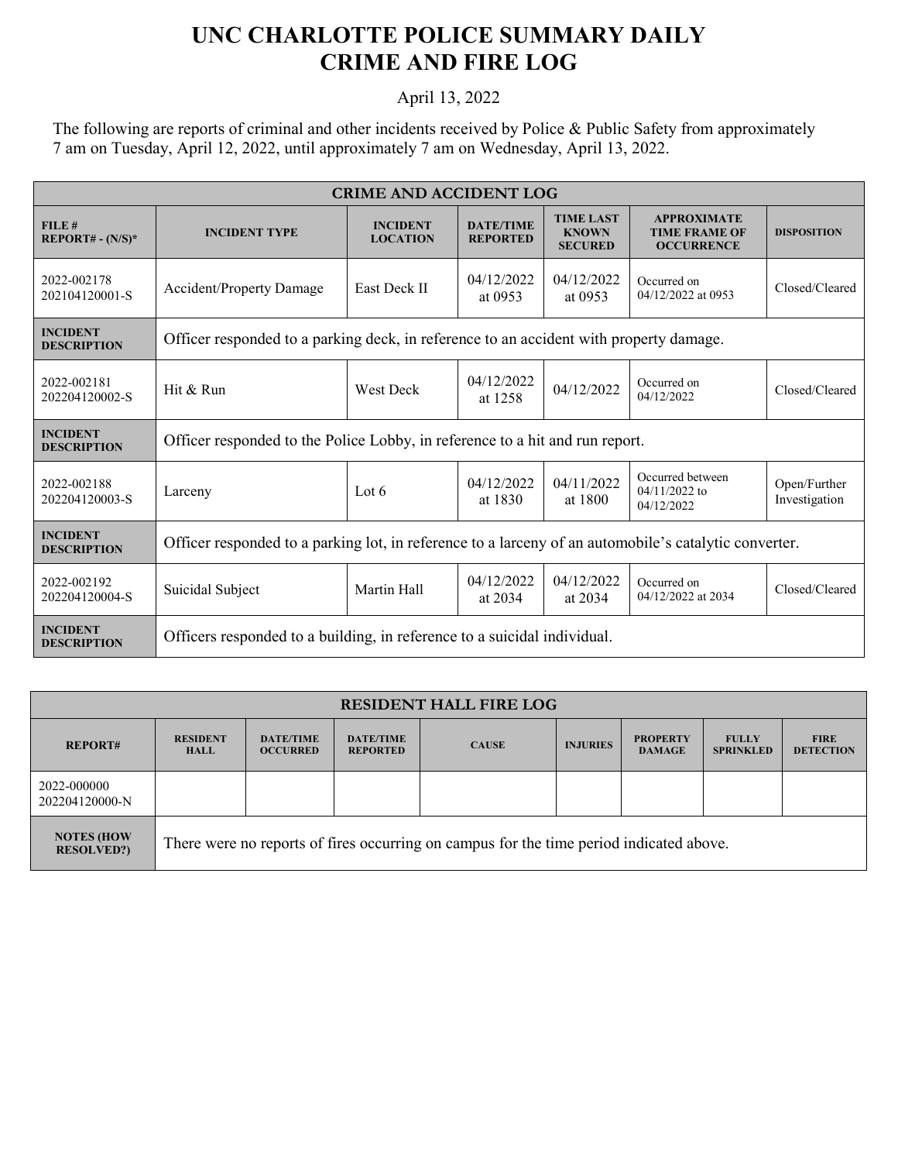## **UNC CHARLOTTE POLICE SUMMARY DAILY CRIME AND FIRE LOG**

## April 13, 2022

The following are reports of criminal and other incidents received by Police & Public Safety from approximately 7 am on Tuesday, April 12, 2022, until approximately 7 am on Wednesday, April 13, 2022.

| <b>CRIME AND ACCIDENT LOG</b>         |                                                                                                       |                                    |                                     |                                                    |                                                                 |                               |  |
|---------------------------------------|-------------------------------------------------------------------------------------------------------|------------------------------------|-------------------------------------|----------------------------------------------------|-----------------------------------------------------------------|-------------------------------|--|
| FILE#<br>$REPORT# - (N/S)*$           | <b>INCIDENT TYPE</b>                                                                                  | <b>INCIDENT</b><br><b>LOCATION</b> | <b>DATE/TIME</b><br><b>REPORTED</b> | <b>TIME LAST</b><br><b>KNOWN</b><br><b>SECURED</b> | <b>APPROXIMATE</b><br><b>TIME FRAME OF</b><br><b>OCCURRENCE</b> | <b>DISPOSITION</b>            |  |
| 2022-002178<br>202104120001-S         | <b>Accident/Property Damage</b>                                                                       | East Deck II                       | 04/12/2022<br>at 0953               | 04/12/2022<br>at 0953                              | Occurred on<br>04/12/2022 at 0953                               | Closed/Cleared                |  |
| <b>INCIDENT</b><br><b>DESCRIPTION</b> | Officer responded to a parking deck, in reference to an accident with property damage.                |                                    |                                     |                                                    |                                                                 |                               |  |
| 2022-002181<br>202204120002-S         | 04/12/2022<br>Hit & Run<br><b>West Deck</b><br>at 1258                                                |                                    | 04/12/2022                          | Occurred on<br>04/12/2022                          | Closed/Cleared                                                  |                               |  |
| <b>INCIDENT</b><br><b>DESCRIPTION</b> | Officer responded to the Police Lobby, in reference to a hit and run report.                          |                                    |                                     |                                                    |                                                                 |                               |  |
| 2022-002188<br>202204120003-S         | Larceny                                                                                               | Lot $6$                            | 04/12/2022<br>at 1830               | 04/11/2022<br>at 1800                              | Occurred between<br>$04/11/2022$ to<br>04/12/2022               | Open/Further<br>Investigation |  |
| <b>INCIDENT</b><br><b>DESCRIPTION</b> | Officer responded to a parking lot, in reference to a larceny of an automobile's catalytic converter. |                                    |                                     |                                                    |                                                                 |                               |  |
| 2022-002192<br>202204120004-S         | Suicidal Subject                                                                                      | Martin Hall                        | 04/12/2022<br>at 2034               | 04/12/2022<br>at 2034                              | Occurred on<br>04/12/2022 at 2034                               | Closed/Cleared                |  |
| <b>INCIDENT</b><br><b>DESCRIPTION</b> | Officers responded to a building, in reference to a suicidal individual.                              |                                    |                                     |                                                    |                                                                 |                               |  |

| <b>RESIDENT HALL FIRE LOG</b>           |                                                                                         |                                     |                                     |              |                 |                                  |                                  |                                 |
|-----------------------------------------|-----------------------------------------------------------------------------------------|-------------------------------------|-------------------------------------|--------------|-----------------|----------------------------------|----------------------------------|---------------------------------|
| <b>REPORT#</b>                          | <b>RESIDENT</b><br><b>HALL</b>                                                          | <b>DATE/TIME</b><br><b>OCCURRED</b> | <b>DATE/TIME</b><br><b>REPORTED</b> | <b>CAUSE</b> | <b>INJURIES</b> | <b>PROPERTY</b><br><b>DAMAGE</b> | <b>FULLY</b><br><b>SPRINKLED</b> | <b>FIRE</b><br><b>DETECTION</b> |
| 2022-000000<br>202204120000-N           |                                                                                         |                                     |                                     |              |                 |                                  |                                  |                                 |
| <b>NOTES (HOW)</b><br><b>RESOLVED?)</b> | There were no reports of fires occurring on campus for the time period indicated above. |                                     |                                     |              |                 |                                  |                                  |                                 |